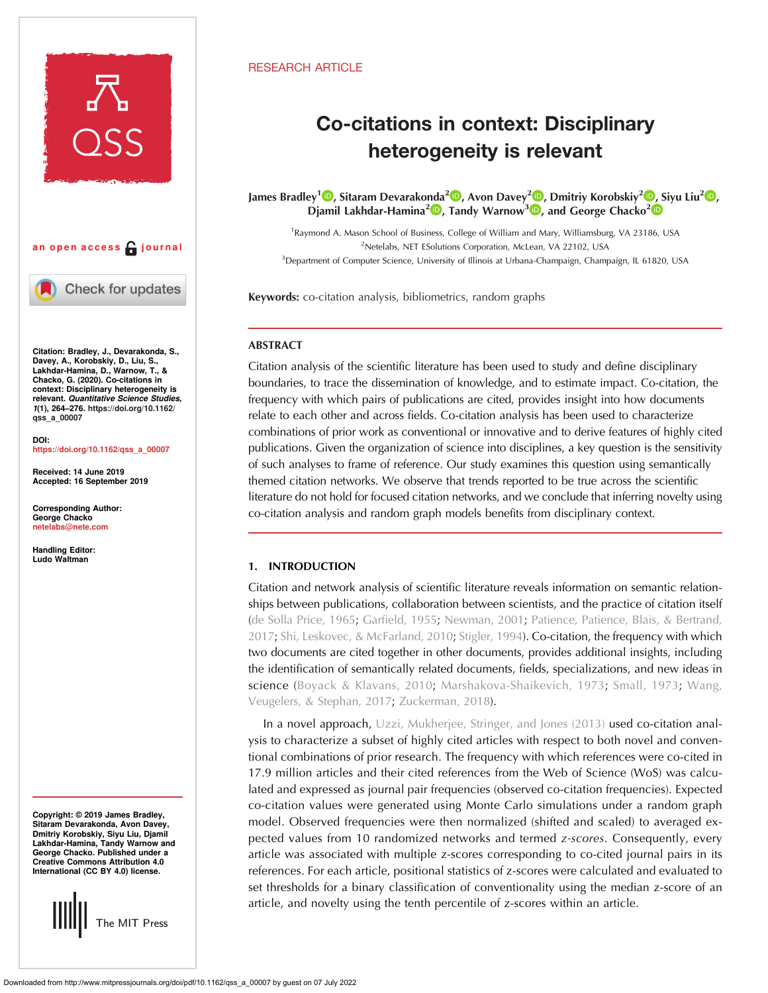

# an open access  $\bigcap$  journal

Check for updates

Citation: Bradley, J., Devarakonda, S., Davey, A., Korobskiy, D., Liu, S., Lakhdar-Hamina, D., Warnow, T., & Chacko, G. (2020). Co-citations in context: Disciplinary heterogeneity is relevant. Quantitative Science Studies,<br>1(1), 264-276. [https://doi.org/10.1162/](https://doi.org/10.1162/qss_a_00007) [qss\\_a\\_00007](https://doi.org/10.1162/qss_a_00007)

DOI: [https://doi.org/10.1162/qss\\_a\\_00007](https://doi.org/10.1162/qss_a_00007)

Received: 14 June 2019 Accepted: 16 September 2019

Corresponding Author: George Chacko [netelabs@nete.com](mailto:netelabs@nete.com)

Handling Editor: Ludo Waltman

#### Copyright: © 2019 James Bradley, Sitaram Devarakonda, Avon Davey, Dmitriy Korobskiy, Siyu Liu, Djamil Lakhdar-Hamina, Tandy Warnow and George Chacko. Published under a Creative Commons Attribution 4.0 International (CC BY 4.0) license.



# RESEARCH ARTICLE

# Co-citations in context: Disciplinary heterogeneity is relevant

James Bradley<sup>1</sup><sup>®</sup>[,](https://orcid.org/0000-0002-7909-0218) Sitaram Devarako[nda](https://orcid.org/0000-0002-8209-093X)<sup>2</sup><sup>®</sup>, Avon Davey<sup>2</sup><sup>®</sup>, Dmitriy Korobskiy<sup>2</sup><sup>®</sup>, [S](https://orcid.org/0000-0002-2127-1892)iyu Liu<sup>2</sup><sup>®</sup>, Djamil Lakhdar-Hamina<sup>2</sup><sup>1</sup>[,](https://orcid.org/0000-0001-7717-3514) Tandy Warnow<sup>3</sup><sup>1</sup>, and George Chacko<sup>2</sup><sup><sup>6</sup></sup>

<sup>1</sup>Raymond A. Mason School of Business, College of William and Mary, Williamsburg, VA 23186, USA <sup>2</sup>Netelabs, NET ESolutions Corporation, McLean, VA 22102, USA 3 Department of Computer Science, University of Illinois at Urbana-Champaign, Champaign, IL 61820, USA

Keywords: co-citation analysis, bibliometrics, random graphs

## ABSTRACT

Citation analysis of the scientific literature has been used to study and define disciplinary boundaries, to trace the dissemination of knowledge, and to estimate impact. Co-citation, the frequency with which pairs of publications are cited, provides insight into how documents relate to each other and across fields. Co-citation analysis has been used to characterize combinations of prior work as conventional or innovative and to derive features of highly cited publications. Given the organization of science into disciplines, a key question is the sensitivity of such analyses to frame of reference. Our study examines this question using semantically themed citation networks. We observe that trends reported to be true across the scientific literature do not hold for focused citation networks, and we conclude that inferring novelty using co-citation analysis and random graph models benefits from disciplinary context.

## 1. INTRODUCTION

Citation and network analysis of scientific literature reveals information on semantic relationships between publications, collaboration between scientists, and the practice of citation itself ([de Solla Price, 1965;](#page-12-0) [Garfield, 1955;](#page-12-0) [Newman, 2001](#page-12-0); [Patience, Patience, Blais, & Bertrand,](#page-12-0) [2017;](#page-12-0) [Shi, Leskovec, & McFarland, 2010](#page-12-0); [Stigler, 1994\)](#page-12-0). Co-citation, the frequency with which two documents are cited together in other documents, provides additional insights, including the identification of semantically related documents, fields, specializations, and new ideas in science ([Boyack & Klavans, 2010](#page-12-0); [Marshakova-Shaikevich, 1973;](#page-12-0) [Small, 1973;](#page-12-0) [Wang,](#page-12-0) [Veugelers, & Stephan, 2017;](#page-12-0) [Zuckerman, 2018\)](#page-12-0).

In a novel approach, [Uzzi, Mukherjee, Stringer, and Jones \(2013\)](#page-12-0) used co-citation analysis to characterize a subset of highly cited articles with respect to both novel and conventional combinations of prior research. The frequency with which references were co-cited in 17.9 million articles and their cited references from the Web of Science (WoS) was calculated and expressed as journal pair frequencies (observed co-citation frequencies). Expected co-citation values were generated using Monte Carlo simulations under a random graph model. Observed frequencies were then normalized (shifted and scaled) to averaged expected values from 10 randomized networks and termed z-scores. Consequently, every article was associated with multiple z-scores corresponding to co-cited journal pairs in its references. For each article, positional statistics of z-scores were calculated and evaluated to set thresholds for a binary classification of conventionality using the median z-score of an article, and novelty using the tenth percentile of z-scores within an article.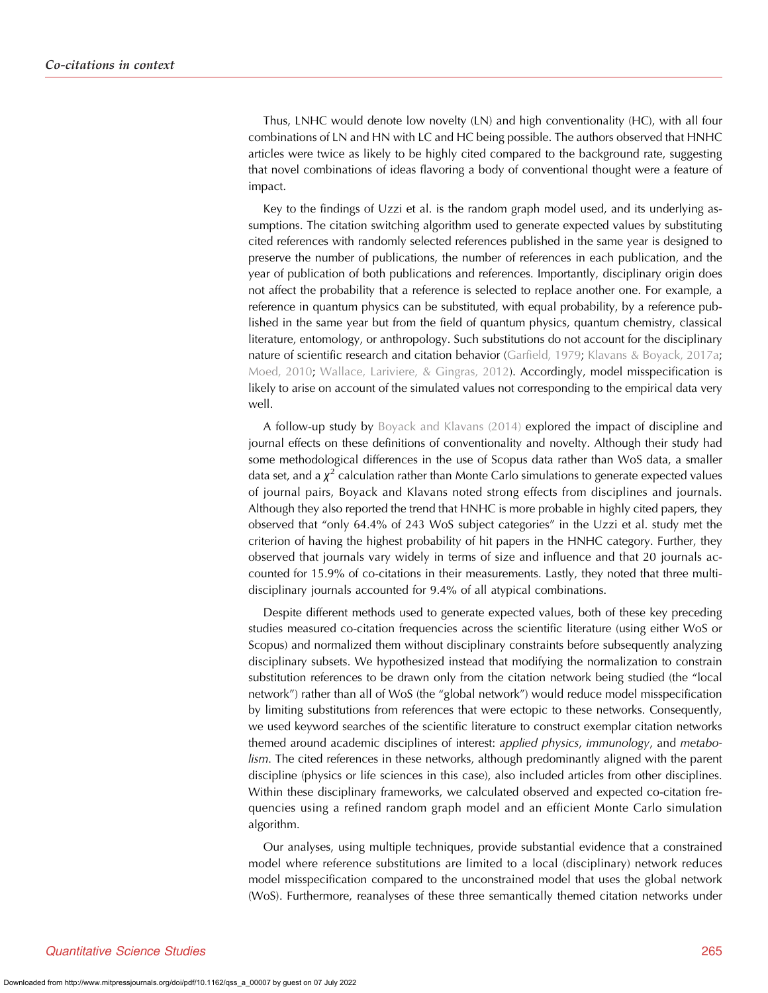Thus, LNHC would denote low novelty (LN) and high conventionality (HC), with all four combinations of LN and HN with LC and HC being possible. The authors observed that HNHC articles were twice as likely to be highly cited compared to the background rate, suggesting that novel combinations of ideas flavoring a body of conventional thought were a feature of impact.

Key to the findings of Uzzi et al. is the random graph model used, and its underlying assumptions. The citation switching algorithm used to generate expected values by substituting cited references with randomly selected references published in the same year is designed to preserve the number of publications, the number of references in each publication, and the year of publication of both publications and references. Importantly, disciplinary origin does not affect the probability that a reference is selected to replace another one. For example, a reference in quantum physics can be substituted, with equal probability, by a reference published in the same year but from the field of quantum physics, quantum chemistry, classical literature, entomology, or anthropology. Such substitutions do not account for the disciplinary nature of scientific research and citation behavior [\(Garfield, 1979](#page-12-0); [Klavans & Boyack, 2017a](#page-12-0); [Moed, 2010](#page-12-0); [Wallace, Lariviere, & Gingras, 2012](#page-12-0)). Accordingly, model misspecification is likely to arise on account of the simulated values not corresponding to the empirical data very well.

A follow-up study by [Boyack and Klavans \(2014\)](#page-12-0) explored the impact of discipline and journal effects on these definitions of conventionality and novelty. Although their study had some methodological differences in the use of Scopus data rather than WoS data, a smaller data set, and a  $\chi^2$  calculation rather than Monte Carlo simulations to generate expected values of journal pairs, Boyack and Klavans noted strong effects from disciplines and journals. Although they also reported the trend that HNHC is more probable in highly cited papers, they observed that "only 64.4% of 243 WoS subject categories" in the Uzzi et al. study met the criterion of having the highest probability of hit papers in the HNHC category. Further, they observed that journals vary widely in terms of size and influence and that 20 journals accounted for 15.9% of co-citations in their measurements. Lastly, they noted that three multidisciplinary journals accounted for 9.4% of all atypical combinations.

Despite different methods used to generate expected values, both of these key preceding studies measured co-citation frequencies across the scientific literature (using either WoS or Scopus) and normalized them without disciplinary constraints before subsequently analyzing disciplinary subsets. We hypothesized instead that modifying the normalization to constrain substitution references to be drawn only from the citation network being studied (the "local network") rather than all of WoS (the "global network") would reduce model misspecification by limiting substitutions from references that were ectopic to these networks. Consequently, we used keyword searches of the scientific literature to construct exemplar citation networks themed around academic disciplines of interest: applied physics, immunology, and metabolism. The cited references in these networks, although predominantly aligned with the parent discipline (physics or life sciences in this case), also included articles from other disciplines. Within these disciplinary frameworks, we calculated observed and expected co-citation frequencies using a refined random graph model and an efficient Monte Carlo simulation algorithm.

Our analyses, using multiple techniques, provide substantial evidence that a constrained model where reference substitutions are limited to a local (disciplinary) network reduces model misspecification compared to the unconstrained model that uses the global network (WoS). Furthermore, reanalyses of these three semantically themed citation networks under

Downloaded from http://www.mitpressjournals.org/doi/pdf/10.1162/qss\_a\_00007 by guest on 07 July 2022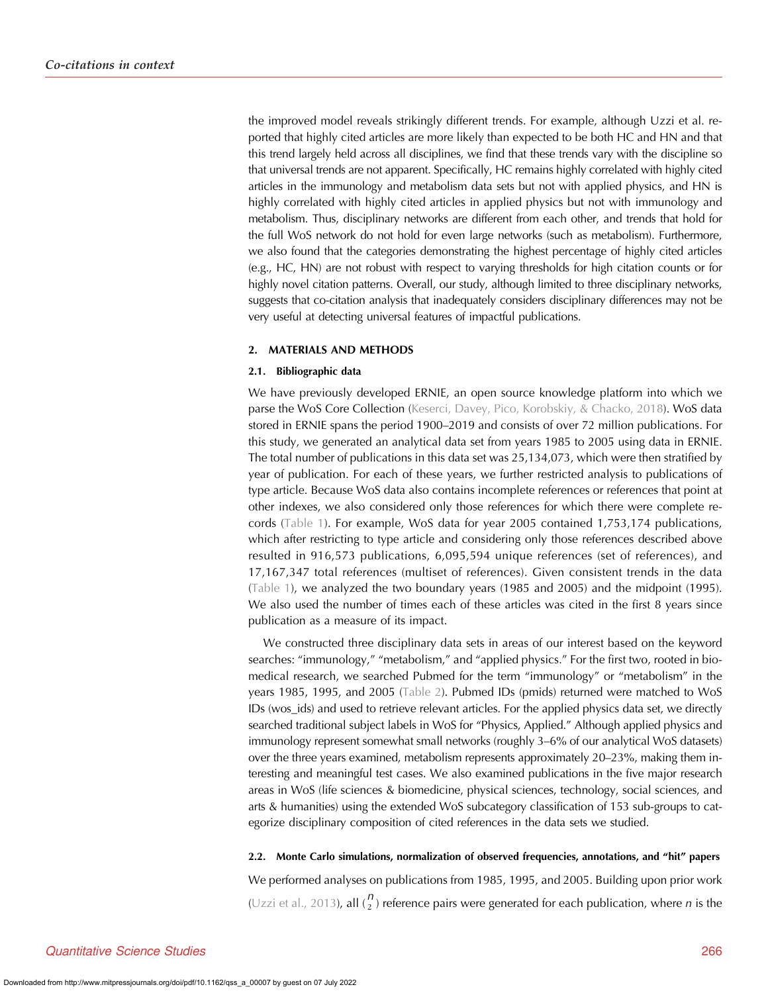the improved model reveals strikingly different trends. For example, although Uzzi et al. reported that highly cited articles are more likely than expected to be both HC and HN and that this trend largely held across all disciplines, we find that these trends vary with the discipline so that universal trends are not apparent. Specifically, HC remains highly correlated with highly cited articles in the immunology and metabolism data sets but not with applied physics, and HN is highly correlated with highly cited articles in applied physics but not with immunology and metabolism. Thus, disciplinary networks are different from each other, and trends that hold for the full WoS network do not hold for even large networks (such as metabolism). Furthermore, we also found that the categories demonstrating the highest percentage of highly cited articles (e.g., HC, HN) are not robust with respect to varying thresholds for high citation counts or for highly novel citation patterns. Overall, our study, although limited to three disciplinary networks, suggests that co-citation analysis that inadequately considers disciplinary differences may not be very useful at detecting universal features of impactful publications.

#### 2. MATERIALS AND METHODS

### 2.1. Bibliographic data

We have previously developed ERNIE, an open source knowledge platform into which we parse the WoS Core Collection [\(Keserci, Davey, Pico, Korobskiy, & Chacko, 2018\)](#page-12-0). WoS data stored in ERNIE spans the period 1900–2019 and consists of over 72 million publications. For this study, we generated an analytical data set from years 1985 to 2005 using data in ERNIE. The total number of publications in this data set was 25,134,073, which were then stratified by year of publication. For each of these years, we further restricted analysis to publications of type article. Because WoS data also contains incomplete references or references that point at other indexes, we also considered only those references for which there were complete records ([Table 1\)](#page-3-0). For example, WoS data for year 2005 contained 1,753,174 publications, which after restricting to type article and considering only those references described above resulted in 916,573 publications, 6,095,594 unique references (set of references), and 17,167,347 total references (multiset of references). Given consistent trends in the data ([Table 1](#page-3-0)), we analyzed the two boundary years (1985 and 2005) and the midpoint (1995). We also used the number of times each of these articles was cited in the first 8 years since publication as a measure of its impact.

We constructed three disciplinary data sets in areas of our interest based on the keyword searches: "immunology," "metabolism," and "applied physics." For the first two, rooted in biomedical research, we searched Pubmed for the term "immunology" or "metabolism" in the years 1985, 1995, and 2005 ([Table 2](#page-3-0)). Pubmed IDs (pmids) returned were matched to WoS IDs (wos\_ids) and used to retrieve relevant articles. For the applied physics data set, we directly searched traditional subject labels in WoS for "Physics, Applied." Although applied physics and immunology represent somewhat small networks (roughly 3–6% of our analytical WoS datasets) over the three years examined, metabolism represents approximately 20–23%, making them interesting and meaningful test cases. We also examined publications in the five major research areas in WoS (life sciences & biomedicine, physical sciences, technology, social sciences, and arts & humanities) using the extended WoS subcategory classification of 153 sub-groups to categorize disciplinary composition of cited references in the data sets we studied.

2.2. Monte Carlo simulations, normalization of observed frequencies, annotations, and "hit" papers We performed analyses on publications from 1985, 1995, and 2005. Building upon prior work ([Uzzi et al., 2013\)](#page-12-0), all  $\binom{n}{2}$  reference pairs were generated for each publication, where n is the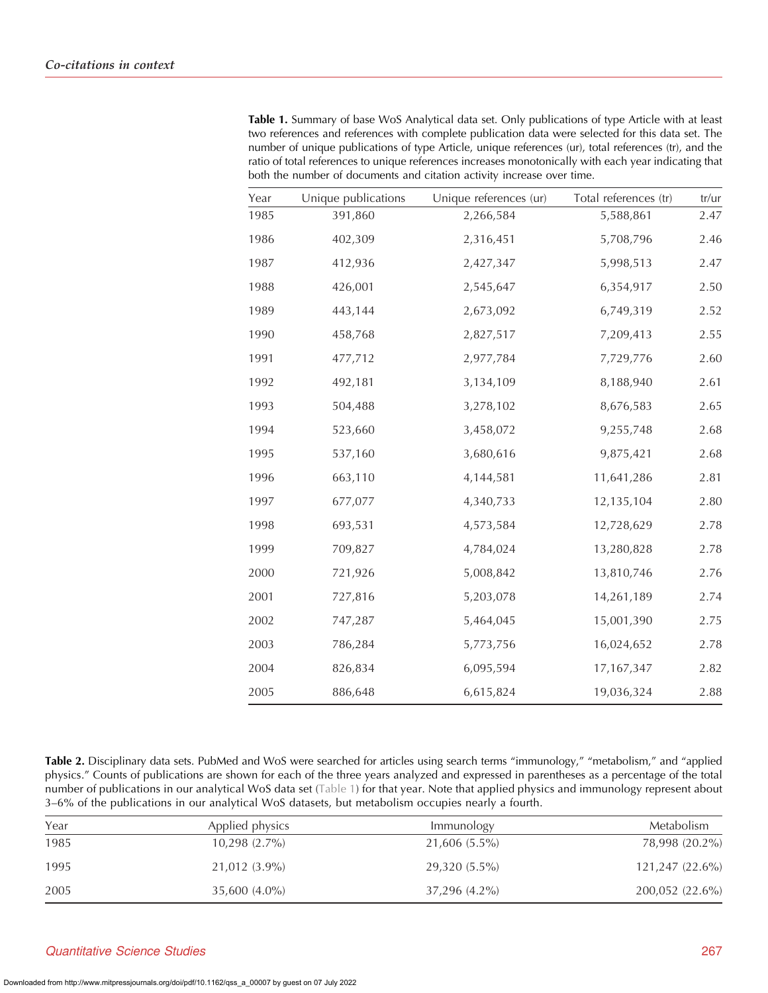| Year | Unique publications | Unique references (ur) | Total references (tr) | tr/ur |
|------|---------------------|------------------------|-----------------------|-------|
| 1985 | 391,860             | 2,266,584              | 5,588,861             | 2.47  |
| 1986 | 402,309             | 2,316,451              | 5,708,796             | 2.46  |
| 1987 | 412,936             | 2,427,347              | 5,998,513             | 2.47  |
| 1988 | 426,001             | 2,545,647              | 6,354,917             | 2.50  |
| 1989 | 443,144             | 2,673,092              | 6,749,319             | 2.52  |
| 1990 | 458,768             | 2,827,517              | 7,209,413             | 2.55  |
| 1991 | 477,712             | 2,977,784              | 7,729,776             | 2.60  |
| 1992 | 492,181             | 3,134,109              | 8,188,940             | 2.61  |
| 1993 | 504,488             | 3,278,102              | 8,676,583             | 2.65  |
| 1994 | 523,660             | 3,458,072              | 9,255,748             | 2.68  |
| 1995 | 537,160             | 3,680,616              | 9,875,421             | 2.68  |
| 1996 | 663,110             | 4,144,581              | 11,641,286            | 2.81  |
| 1997 | 677,077             | 4,340,733              | 12,135,104            | 2.80  |
| 1998 | 693,531             | 4,573,584              | 12,728,629            | 2.78  |
| 1999 | 709,827             | 4,784,024              | 13,280,828            | 2.78  |
| 2000 | 721,926             | 5,008,842              | 13,810,746            | 2.76  |
| 2001 | 727,816             | 5,203,078              | 14,261,189            | 2.74  |
| 2002 | 747,287             | 5,464,045              | 15,001,390            | 2.75  |
| 2003 | 786,284             | 5,773,756              | 16,024,652            | 2.78  |
| 2004 | 826,834             | 6,095,594              | 17,167,347            | 2.82  |
| 2005 | 886,648             | 6,615,824              | 19,036,324            | 2.88  |

<span id="page-3-0"></span>Table 1. Summary of base WoS Analytical data set. Only publications of type Article with at least two references and references with complete publication data were selected for this data set. The number of unique publications of type Article, unique references (ur), total references (tr), and the ratio of total references to unique references increases monotonically with each year indicating that both the number of documents and citation activity increase over time.

Table 2. Disciplinary data sets. PubMed and WoS were searched for articles using search terms "immunology," "metabolism," and "applied physics." Counts of publications are shown for each of the three years analyzed and expressed in parentheses as a percentage of the total number of publications in our analytical WoS data set (Table 1) for that year. Note that applied physics and immunology represent about 3–6% of the publications in our analytical WoS datasets, but metabolism occupies nearly a fourth.

| Year | Applied physics | Immunology      | Metabolism        |
|------|-----------------|-----------------|-------------------|
| 1985 | $10,298(2.7\%)$ | $21,606(5.5\%)$ | 78,998 (20.2%)    |
| 1995 | 21,012 (3.9%)   | 29,320 (5.5%)   | $121,247(22.6\%)$ |
| 2005 | $35,600(4.0\%)$ | 37,296 (4.2%)   | 200,052 (22.6%)   |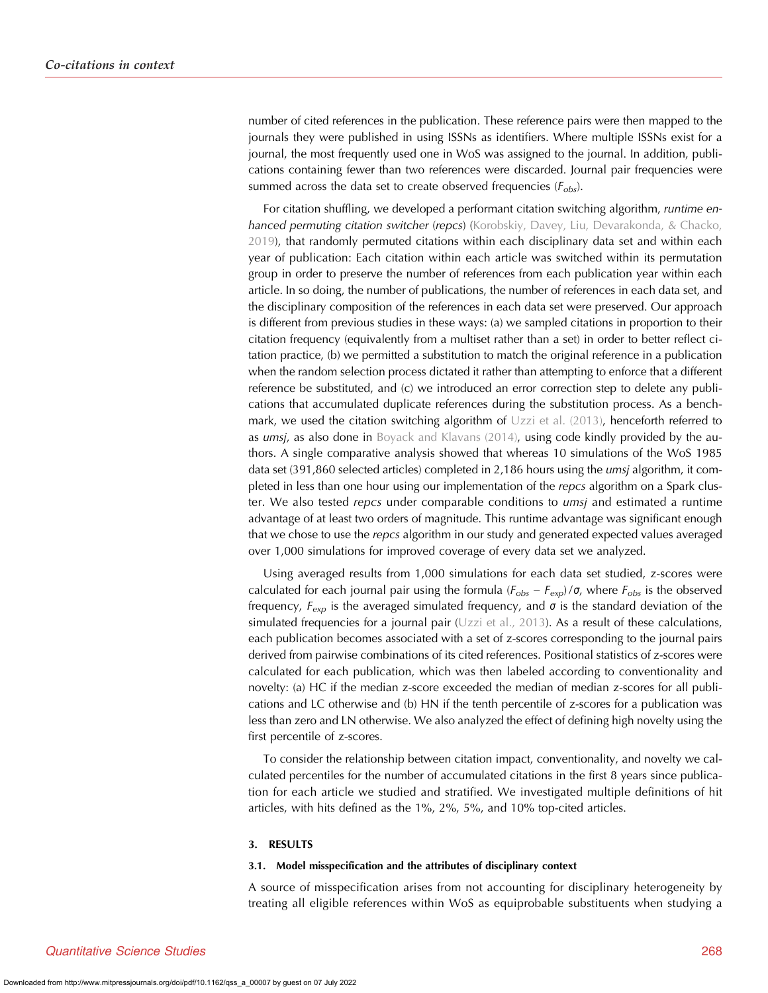number of cited references in the publication. These reference pairs were then mapped to the journals they were published in using ISSNs as identifiers. Where multiple ISSNs exist for a journal, the most frequently used one in WoS was assigned to the journal. In addition, publications containing fewer than two references were discarded. Journal pair frequencies were summed across the data set to create observed frequencies  $(F_{obs})$ .

For citation shuffling, we developed a performant citation switching algorithm, *runtime en-*hanced permuting citation switcher (repcs) [\(Korobskiy, Davey, Liu, Devarakonda, & Chacko,](#page-12-0) [2019](#page-12-0)), that randomly permuted citations within each disciplinary data set and within each year of publication: Each citation within each article was switched within its permutation group in order to preserve the number of references from each publication year within each article. In so doing, the number of publications, the number of references in each data set, and the disciplinary composition of the references in each data set were preserved. Our approach is different from previous studies in these ways: (a) we sampled citations in proportion to their citation frequency (equivalently from a multiset rather than a set) in order to better reflect citation practice, (b) we permitted a substitution to match the original reference in a publication when the random selection process dictated it rather than attempting to enforce that a different reference be substituted, and (c) we introduced an error correction step to delete any publications that accumulated duplicate references during the substitution process. As a benchmark, we used the citation switching algorithm of  $Uzzi$  et al. (2013), henceforth referred to as *umsj*, as also done in [Boyack and Klavans \(2014\),](#page-12-0) using code kindly provided by the authors. A single comparative analysis showed that whereas 10 simulations of the WoS 1985 data set (391,860 selected articles) completed in 2,186 hours using the *umsj* algorithm, it completed in less than one hour using our implementation of the repcs algorithm on a Spark cluster. We also tested repcs under comparable conditions to umsj and estimated a runtime advantage of at least two orders of magnitude. This runtime advantage was significant enough that we chose to use the repcs algorithm in our study and generated expected values averaged over 1,000 simulations for improved coverage of every data set we analyzed.

Using averaged results from 1,000 simulations for each data set studied, z-scores were calculated for each journal pair using the formula ( $F_{obs} - F_{exp}/\sigma$ , where  $F_{obs}$  is the observed frequency,  $F_{exp}$  is the averaged simulated frequency, and  $\sigma$  is the standard deviation of the simulated frequencies for a journal pair ( $Uzzi$  et al., 2013). As a result of these calculations, each publication becomes associated with a set of z-scores corresponding to the journal pairs derived from pairwise combinations of its cited references. Positional statistics of z-scores were calculated for each publication, which was then labeled according to conventionality and novelty: (a) HC if the median z-score exceeded the median of median z-scores for all publications and LC otherwise and (b) HN if the tenth percentile of z-scores for a publication was less than zero and LN otherwise. We also analyzed the effect of defining high novelty using the first percentile of z-scores.

To consider the relationship between citation impact, conventionality, and novelty we calculated percentiles for the number of accumulated citations in the first 8 years since publication for each article we studied and stratified. We investigated multiple definitions of hit articles, with hits defined as the 1%, 2%, 5%, and 10% top-cited articles.

#### 3. RESULTS

#### 3.1. Model misspecification and the attributes of disciplinary context

A source of misspecification arises from not accounting for disciplinary heterogeneity by treating all eligible references within WoS as equiprobable substituents when studying a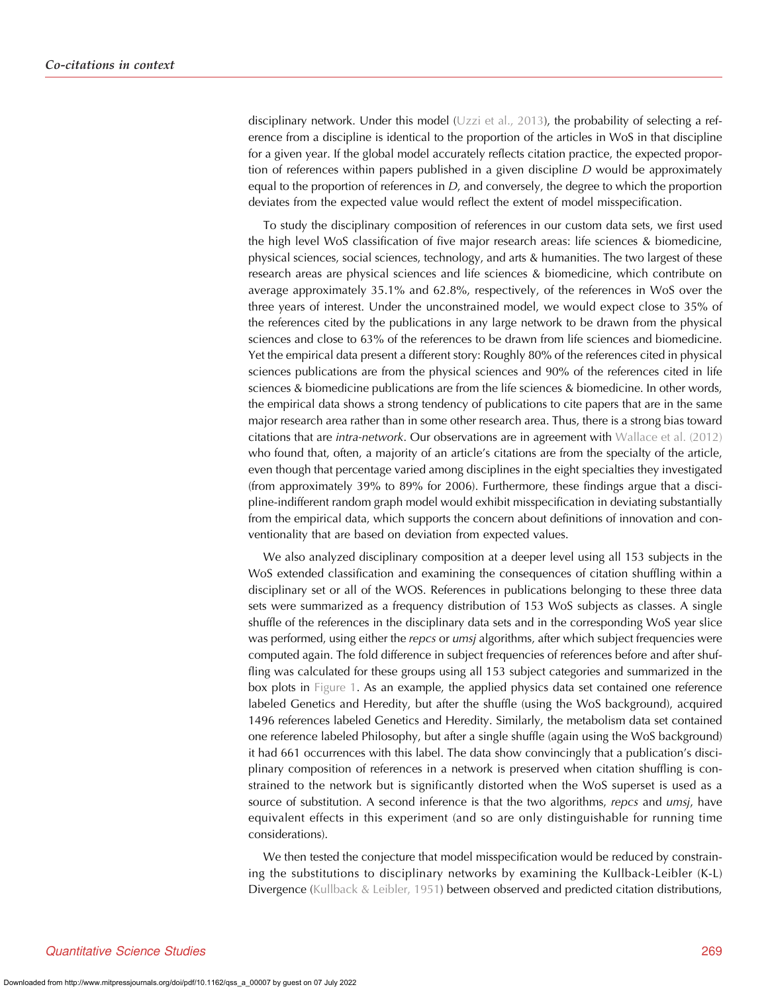disciplinary network. Under this model [\(Uzzi et al., 2013\)](#page-12-0), the probability of selecting a reference from a discipline is identical to the proportion of the articles in WoS in that discipline for a given year. If the global model accurately reflects citation practice, the expected proportion of references within papers published in a given discipline  $D$  would be approximately equal to the proportion of references in  $D$ , and conversely, the degree to which the proportion deviates from the expected value would reflect the extent of model misspecification.

To study the disciplinary composition of references in our custom data sets, we first used the high level WoS classification of five major research areas: life sciences & biomedicine, physical sciences, social sciences, technology, and arts & humanities. The two largest of these research areas are physical sciences and life sciences & biomedicine, which contribute on average approximately 35.1% and 62.8%, respectively, of the references in WoS over the three years of interest. Under the unconstrained model, we would expect close to 35% of the references cited by the publications in any large network to be drawn from the physical sciences and close to 63% of the references to be drawn from life sciences and biomedicine. Yet the empirical data present a different story: Roughly 80% of the references cited in physical sciences publications are from the physical sciences and 90% of the references cited in life sciences & biomedicine publications are from the life sciences & biomedicine. In other words, the empirical data shows a strong tendency of publications to cite papers that are in the same major research area rather than in some other research area. Thus, there is a strong bias toward citations that are intra-network. Our observations are in agreement with [Wallace et al. \(2012\)](#page-12-0) who found that, often, a majority of an article's citations are from the specialty of the article, even though that percentage varied among disciplines in the eight specialties they investigated (from approximately 39% to 89% for 2006). Furthermore, these findings argue that a discipline-indifferent random graph model would exhibit misspecification in deviating substantially from the empirical data, which supports the concern about definitions of innovation and conventionality that are based on deviation from expected values.

We also analyzed disciplinary composition at a deeper level using all 153 subjects in the WoS extended classification and examining the consequences of citation shuffling within a disciplinary set or all of the WOS. References in publications belonging to these three data sets were summarized as a frequency distribution of 153 WoS subjects as classes. A single shuffle of the references in the disciplinary data sets and in the corresponding WoS year slice was performed, using either the repcs or *umsj* algorithms, after which subject frequencies were computed again. The fold difference in subject frequencies of references before and after shuffling was calculated for these groups using all 153 subject categories and summarized in the box plots in [Figure 1](#page-6-0). As an example, the applied physics data set contained one reference labeled Genetics and Heredity, but after the shuffle (using the WoS background), acquired 1496 references labeled Genetics and Heredity. Similarly, the metabolism data set contained one reference labeled Philosophy, but after a single shuffle (again using the WoS background) it had 661 occurrences with this label. The data show convincingly that a publication's disciplinary composition of references in a network is preserved when citation shuffling is constrained to the network but is significantly distorted when the WoS superset is used as a source of substitution. A second inference is that the two algorithms, repcs and umsi, have equivalent effects in this experiment (and so are only distinguishable for running time considerations).

We then tested the conjecture that model misspecification would be reduced by constraining the substitutions to disciplinary networks by examining the Kullback-Leibler (K-L) Divergence ([Kullback & Leibler, 1951](#page-12-0)) between observed and predicted citation distributions,

Downloaded from http://www.mitpressjournals.org/doi/pdf/10.1162/qss\_a\_00007 by guest on 07 July 2022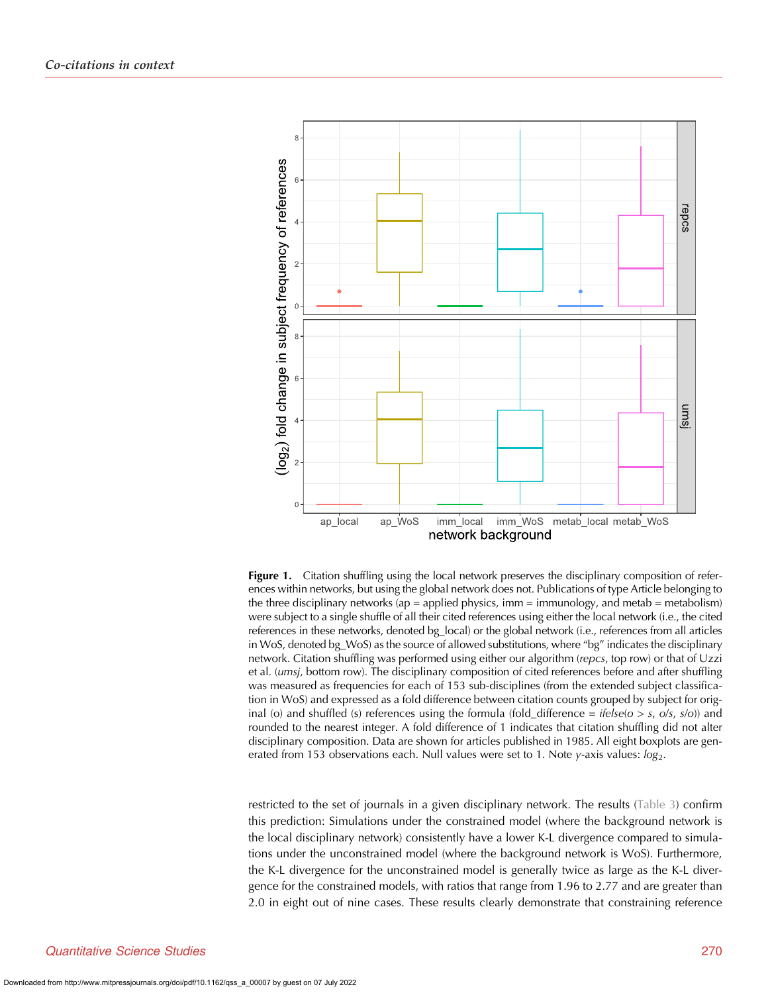<span id="page-6-0"></span>

**Figure 1.** Citation shuffling using the local network preserves the disciplinary composition of references within networks, but using the global network does not. Publications of type Article belonging to the three disciplinary networks (ap = applied physics, imm = immunology, and metab = metabolism) were subject to a single shuffle of all their cited references using either the local network (i.e., the cited references in these networks, denoted bg\_local) or the global network (i.e., references from all articles in WoS, denoted bg\_WoS) as the source of allowed substitutions, where "bg" indicates the disciplinary network. Citation shuffling was performed using either our algorithm (repcs, top row) or that of Uzzi et al. (umsj, bottom row). The disciplinary composition of cited references before and after shuffling was measured as frequencies for each of 153 sub-disciplines (from the extended subject classification in WoS) and expressed as a fold difference between citation counts grouped by subject for original (o) and shuffled (s) references using the formula (fold\_difference = ifelse( $o > s$ ,  $o/s$ ,  $s/o$ )) and rounded to the nearest integer. A fold difference of 1 indicates that citation shuffling did not alter disciplinary composition. Data are shown for articles published in 1985. All eight boxplots are generated from 153 observations each. Null values were set to 1. Note y-axis values:  $log_2$ .

restricted to the set of journals in a given disciplinary network. The results [\(Table 3](#page-7-0)) confirm this prediction: Simulations under the constrained model (where the background network is the local disciplinary network) consistently have a lower K-L divergence compared to simulations under the unconstrained model (where the background network is WoS). Furthermore, the K-L divergence for the unconstrained model is generally twice as large as the K-L divergence for the constrained models, with ratios that range from 1.96 to 2.77 and are greater than 2.0 in eight out of nine cases. These results clearly demonstrate that constraining reference

Downloaded from http://www.mitpressjournals.org/doi/pdf/10.1162/qss\_a\_00007 by guest on 07 July 2022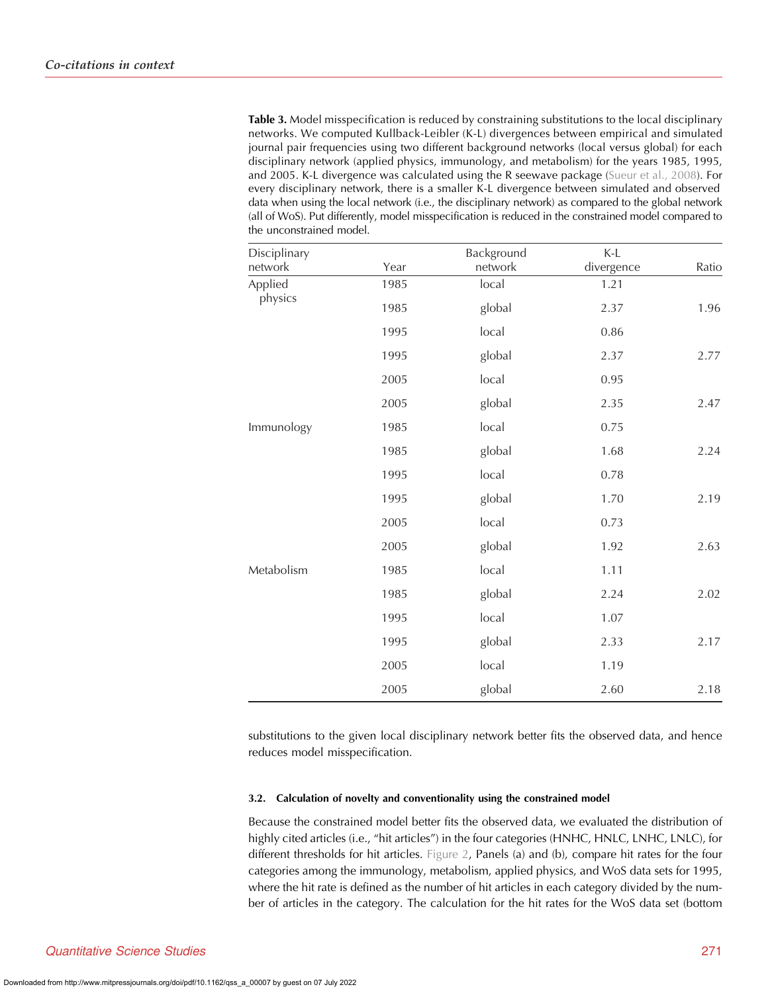<span id="page-7-0"></span>Table 3. Model misspecification is reduced by constraining substitutions to the local disciplinary networks. We computed Kullback-Leibler (K-L) divergences between empirical and simulated journal pair frequencies using two different background networks (local versus global) for each disciplinary network (applied physics, immunology, and metabolism) for the years 1985, 1995, and 2005. K-L divergence was calculated using the R seewave package [\(Sueur et al., 2008\)](#page-12-0). For every disciplinary network, there is a smaller K-L divergence between simulated and observed data when using the local network (i.e., the disciplinary network) as compared to the global network (all of WoS). Put differently, model misspecification is reduced in the constrained model compared to the unconstrained model.

| Disciplinary<br>network | Year | Background<br>network | $K-L$<br>divergence | Ratio |
|-------------------------|------|-----------------------|---------------------|-------|
| Applied                 | 1985 | local                 | 1.21                |       |
| physics                 | 1985 | global                | 2.37                | 1.96  |
|                         | 1995 | local                 | 0.86                |       |
|                         | 1995 | global                | 2.37                | 2.77  |
|                         | 2005 | local                 | 0.95                |       |
|                         | 2005 | global                | 2.35                | 2.47  |
| Immunology              | 1985 | local                 | 0.75                |       |
|                         | 1985 | global                | 1.68                | 2.24  |
|                         | 1995 | local                 | 0.78                |       |
|                         | 1995 | global                | 1.70                | 2.19  |
|                         | 2005 | local                 | 0.73                |       |
|                         | 2005 | global                | 1.92                | 2.63  |
| Metabolism              | 1985 | local                 | 1.11                |       |
|                         | 1985 | global                | 2.24                | 2.02  |
|                         | 1995 | local                 | 1.07                |       |
|                         | 1995 | global                | 2.33                | 2.17  |
|                         | 2005 | local                 | 1.19                |       |
|                         | 2005 | global                | 2.60                | 2.18  |

substitutions to the given local disciplinary network better fits the observed data, and hence reduces model misspecification.

### 3.2. Calculation of novelty and conventionality using the constrained model

Because the constrained model better fits the observed data, we evaluated the distribution of highly cited articles (i.e., "hit articles") in the four categories (HNHC, HNLC, LNHC, LNLC), for different thresholds for hit articles. [Figure 2,](#page-8-0) Panels (a) and (b), compare hit rates for the four categories among the immunology, metabolism, applied physics, and WoS data sets for 1995, where the hit rate is defined as the number of hit articles in each category divided by the number of articles in the category. The calculation for the hit rates for the WoS data set (bottom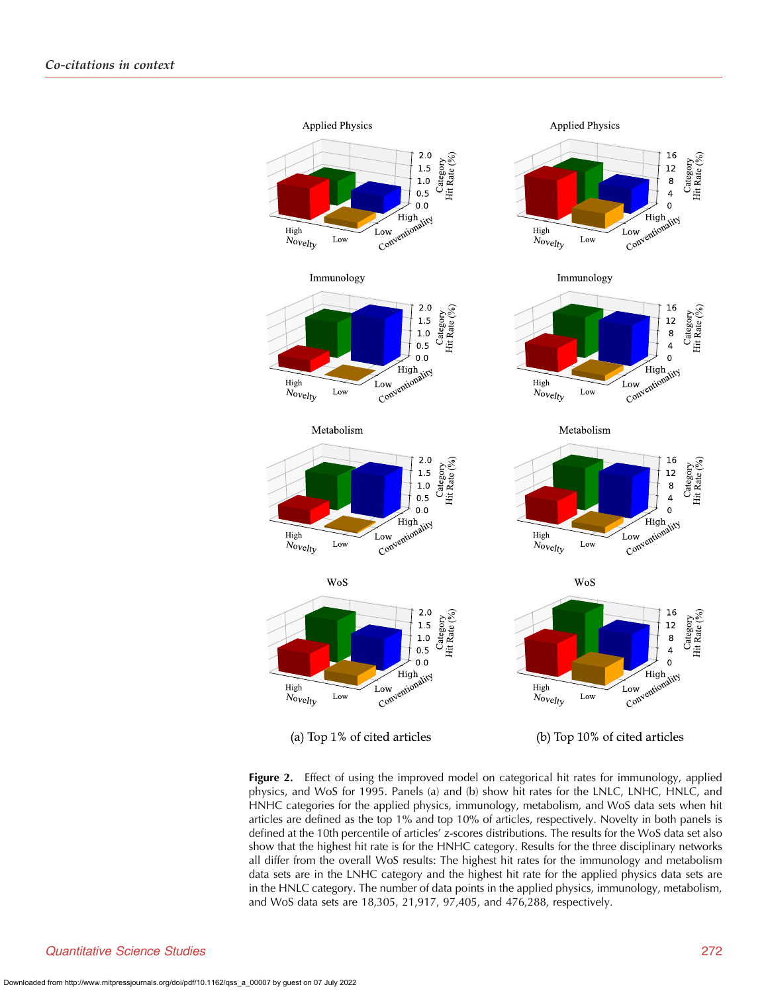<span id="page-8-0"></span>

Figure 2. Effect of using the improved model on categorical hit rates for immunology, applied physics, and WoS for 1995. Panels (a) and (b) show hit rates for the LNLC, LNHC, HNLC, and HNHC categories for the applied physics, immunology, metabolism, and WoS data sets when hit articles are defined as the top 1% and top 10% of articles, respectively. Novelty in both panels is defined at the 10th percentile of articles' z-scores distributions. The results for the WoS data set also show that the highest hit rate is for the HNHC category. Results for the three disciplinary networks all differ from the overall WoS results: The highest hit rates for the immunology and metabolism data sets are in the LNHC category and the highest hit rate for the applied physics data sets are in the HNLC category. The number of data points in the applied physics, immunology, metabolism, and WoS data sets are 18,305, 21,917, 97,405, and 476,288, respectively.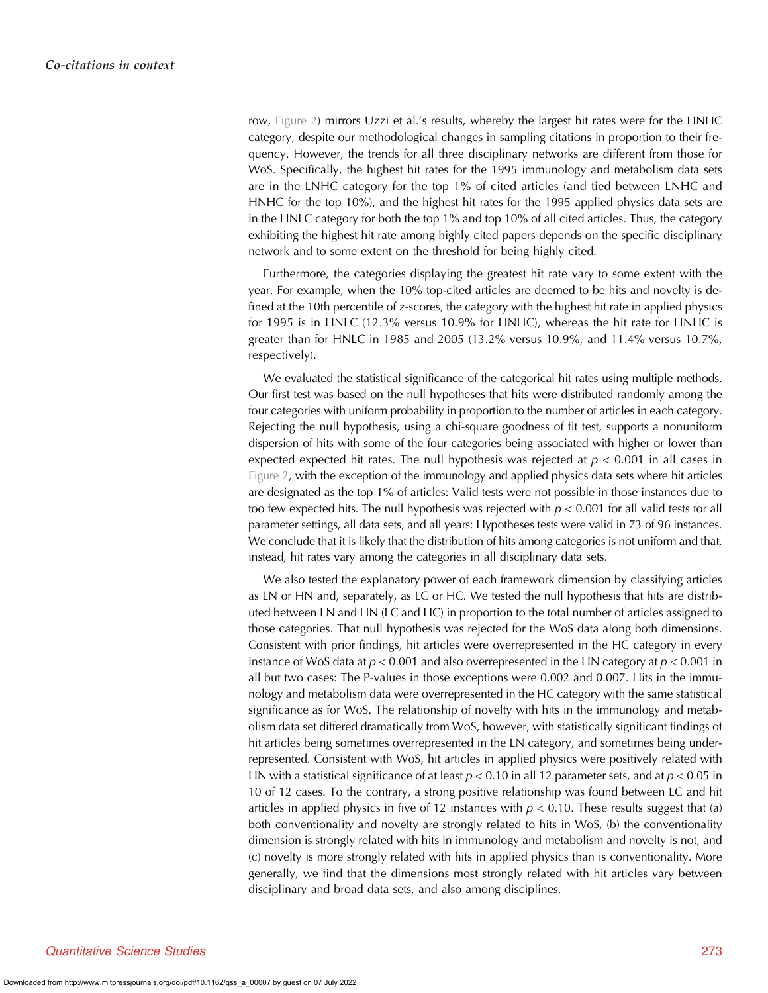row, [Figure 2](#page-8-0)) mirrors Uzzi et al.'s results, whereby the largest hit rates were for the HNHC category, despite our methodological changes in sampling citations in proportion to their frequency. However, the trends for all three disciplinary networks are different from those for WoS. Specifically, the highest hit rates for the 1995 immunology and metabolism data sets are in the LNHC category for the top 1% of cited articles (and tied between LNHC and HNHC for the top 10%), and the highest hit rates for the 1995 applied physics data sets are in the HNLC category for both the top 1% and top 10% of all cited articles. Thus, the category exhibiting the highest hit rate among highly cited papers depends on the specific disciplinary network and to some extent on the threshold for being highly cited.

Furthermore, the categories displaying the greatest hit rate vary to some extent with the year. For example, when the 10% top-cited articles are deemed to be hits and novelty is defined at the 10th percentile of z-scores, the category with the highest hit rate in applied physics for 1995 is in HNLC (12.3% versus 10.9% for HNHC), whereas the hit rate for HNHC is greater than for HNLC in 1985 and 2005 (13.2% versus 10.9%, and 11.4% versus 10.7%, respectively).

We evaluated the statistical significance of the categorical hit rates using multiple methods. Our first test was based on the null hypotheses that hits were distributed randomly among the four categories with uniform probability in proportion to the number of articles in each category. Rejecting the null hypothesis, using a chi-square goodness of fit test, supports a nonuniform dispersion of hits with some of the four categories being associated with higher or lower than expected expected hit rates. The null hypothesis was rejected at  $p < 0.001$  in all cases in [Figure 2](#page-8-0), with the exception of the immunology and applied physics data sets where hit articles are designated as the top 1% of articles: Valid tests were not possible in those instances due to too few expected hits. The null hypothesis was rejected with  $p < 0.001$  for all valid tests for all parameter settings, all data sets, and all years: Hypotheses tests were valid in 73 of 96 instances. We conclude that it is likely that the distribution of hits among categories is not uniform and that, instead, hit rates vary among the categories in all disciplinary data sets.

We also tested the explanatory power of each framework dimension by classifying articles as LN or HN and, separately, as LC or HC. We tested the null hypothesis that hits are distributed between LN and HN (LC and HC) in proportion to the total number of articles assigned to those categories. That null hypothesis was rejected for the WoS data along both dimensions. Consistent with prior findings, hit articles were overrepresented in the HC category in every instance of WoS data at  $p < 0.001$  and also overrepresented in the HN category at  $p < 0.001$  in all but two cases: The P-values in those exceptions were 0.002 and 0.007. Hits in the immunology and metabolism data were overrepresented in the HC category with the same statistical significance as for WoS. The relationship of novelty with hits in the immunology and metabolism data set differed dramatically from WoS, however, with statistically significant findings of hit articles being sometimes overrepresented in the LN category, and sometimes being underrepresented. Consistent with WoS, hit articles in applied physics were positively related with HN with a statistical significance of at least  $p < 0.10$  in all 12 parameter sets, and at  $p < 0.05$  in 10 of 12 cases. To the contrary, a strong positive relationship was found between LC and hit articles in applied physics in five of 12 instances with  $p < 0.10$ . These results suggest that (a) both conventionality and novelty are strongly related to hits in WoS, (b) the conventionality dimension is strongly related with hits in immunology and metabolism and novelty is not, and (c) novelty is more strongly related with hits in applied physics than is conventionality. More generally, we find that the dimensions most strongly related with hit articles vary between disciplinary and broad data sets, and also among disciplines.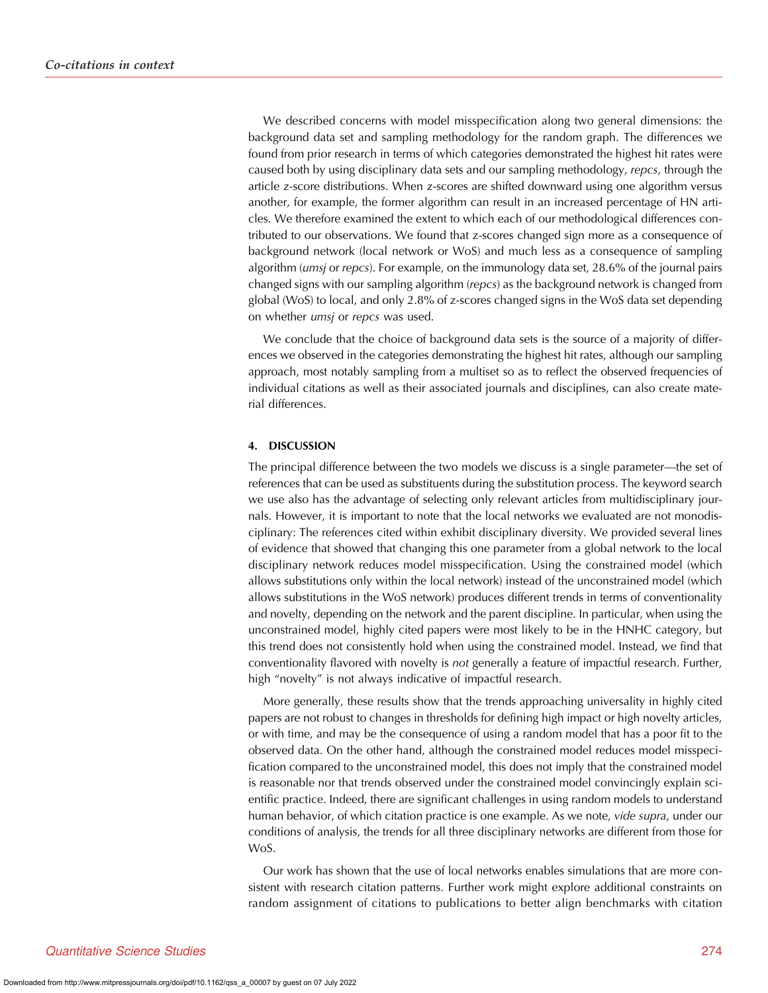We described concerns with model misspecification along two general dimensions: the background data set and sampling methodology for the random graph. The differences we found from prior research in terms of which categories demonstrated the highest hit rates were caused both by using disciplinary data sets and our sampling methodology, repcs, through the article z-score distributions. When z-scores are shifted downward using one algorithm versus another, for example, the former algorithm can result in an increased percentage of HN articles. We therefore examined the extent to which each of our methodological differences contributed to our observations. We found that z-scores changed sign more as a consequence of background network (local network or WoS) and much less as a consequence of sampling algorithm (umsj or repcs). For example, on the immunology data set, 28.6% of the journal pairs changed signs with our sampling algorithm (repcs) as the background network is changed from global (WoS) to local, and only 2.8% of z-scores changed signs in the WoS data set depending on whether umsj or repcs was used.

We conclude that the choice of background data sets is the source of a majority of differences we observed in the categories demonstrating the highest hit rates, although our sampling approach, most notably sampling from a multiset so as to reflect the observed frequencies of individual citations as well as their associated journals and disciplines, can also create material differences.

#### 4. DISCUSSION

The principal difference between the two models we discuss is a single parameter—the set of references that can be used as substituents during the substitution process. The keyword search we use also has the advantage of selecting only relevant articles from multidisciplinary journals. However, it is important to note that the local networks we evaluated are not monodisciplinary: The references cited within exhibit disciplinary diversity. We provided several lines of evidence that showed that changing this one parameter from a global network to the local disciplinary network reduces model misspecification. Using the constrained model (which allows substitutions only within the local network) instead of the unconstrained model (which allows substitutions in the WoS network) produces different trends in terms of conventionality and novelty, depending on the network and the parent discipline. In particular, when using the unconstrained model, highly cited papers were most likely to be in the HNHC category, but this trend does not consistently hold when using the constrained model. Instead, we find that conventionality flavored with novelty is not generally a feature of impactful research. Further, high "novelty" is not always indicative of impactful research.

More generally, these results show that the trends approaching universality in highly cited papers are not robust to changes in thresholds for defining high impact or high novelty articles, or with time, and may be the consequence of using a random model that has a poor fit to the observed data. On the other hand, although the constrained model reduces model misspecification compared to the unconstrained model, this does not imply that the constrained model is reasonable nor that trends observed under the constrained model convincingly explain scientific practice. Indeed, there are significant challenges in using random models to understand human behavior, of which citation practice is one example. As we note, *vide supra*, under our conditions of analysis, the trends for all three disciplinary networks are different from those for WoS.

Our work has shown that the use of local networks enables simulations that are more consistent with research citation patterns. Further work might explore additional constraints on random assignment of citations to publications to better align benchmarks with citation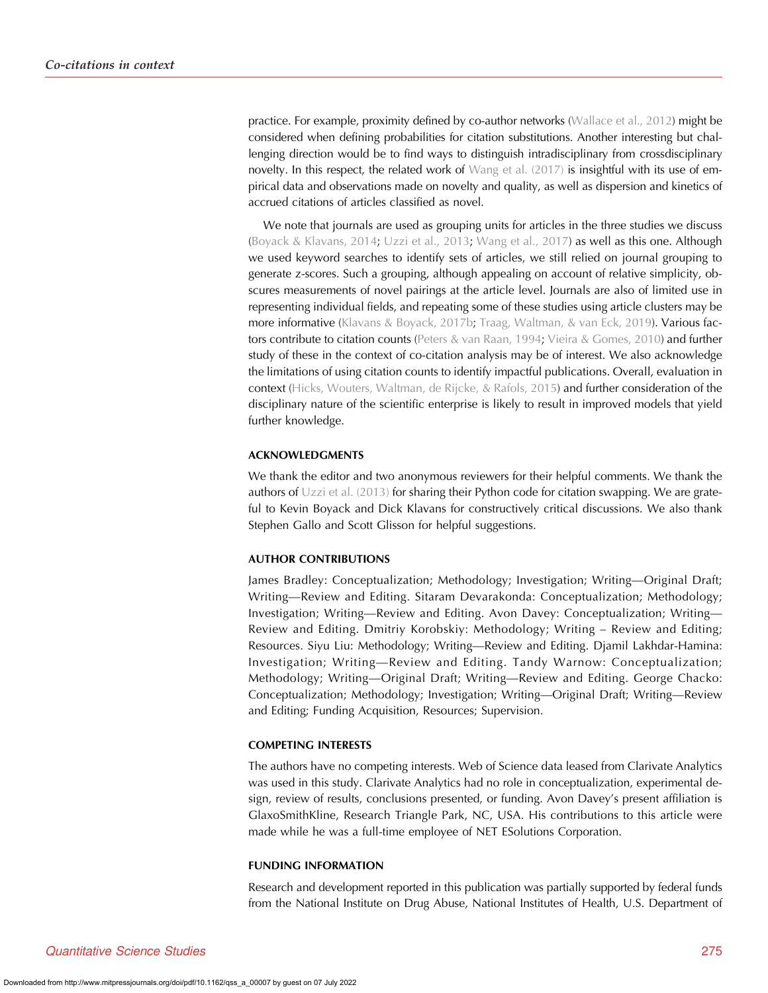practice. For example, proximity defined by co-author networks ([Wallace et al., 2012](#page-12-0)) might be considered when defining probabilities for citation substitutions. Another interesting but challenging direction would be to find ways to distinguish intradisciplinary from crossdisciplinary novelty. In this respect, the related work of [Wang et al. \(2017\)](#page-12-0) is insightful with its use of empirical data and observations made on novelty and quality, as well as dispersion and kinetics of accrued citations of articles classified as novel.

We note that journals are used as grouping units for articles in the three studies we discuss ([Boyack & Klavans, 2014;](#page-12-0) [Uzzi et al., 2013;](#page-12-0) [Wang et al., 2017](#page-12-0)) as well as this one. Although we used keyword searches to identify sets of articles, we still relied on journal grouping to generate z-scores. Such a grouping, although appealing on account of relative simplicity, obscures measurements of novel pairings at the article level. Journals are also of limited use in representing individual fields, and repeating some of these studies using article clusters may be more informative [\(Klavans & Boyack, 2017b](#page-12-0); [Traag, Waltman, & van Eck, 2019\)](#page-12-0). Various factors contribute to citation counts ([Peters & van Raan, 1994;](#page-12-0) [Vieira & Gomes, 2010](#page-12-0)) and further study of these in the context of co-citation analysis may be of interest. We also acknowledge the limitations of using citation counts to identify impactful publications. Overall, evaluation in context ([Hicks, Wouters, Waltman, de Rijcke, & Rafols, 2015](#page-12-0)) and further consideration of the disciplinary nature of the scientific enterprise is likely to result in improved models that yield further knowledge.

# ACKNOWLEDGMENTS

We thank the editor and two anonymous reviewers for their helpful comments. We thank the authors of [Uzzi et al. \(2013\)](#page-12-0) for sharing their Python code for citation swapping. We are grateful to Kevin Boyack and Dick Klavans for constructively critical discussions. We also thank Stephen Gallo and Scott Glisson for helpful suggestions.

### AUTHOR CONTRIBUTIONS

James Bradley: Conceptualization; Methodology; Investigation; Writing—Original Draft; Writing—Review and Editing. Sitaram Devarakonda: Conceptualization; Methodology; Investigation; Writing—Review and Editing. Avon Davey: Conceptualization; Writing— Review and Editing. Dmitriy Korobskiy: Methodology; Writing – Review and Editing; Resources. Siyu Liu: Methodology; Writing—Review and Editing. Djamil Lakhdar-Hamina: Investigation; Writing—Review and Editing. Tandy Warnow: Conceptualization; Methodology; Writing—Original Draft; Writing—Review and Editing. George Chacko: Conceptualization; Methodology; Investigation; Writing—Original Draft; Writing—Review and Editing; Funding Acquisition, Resources; Supervision.

### COMPETING INTERESTS

The authors have no competing interests. Web of Science data leased from Clarivate Analytics was used in this study. Clarivate Analytics had no role in conceptualization, experimental design, review of results, conclusions presented, or funding. Avon Davey's present affiliation is GlaxoSmithKline, Research Triangle Park, NC, USA. His contributions to this article were made while he was a full-time employee of NET ESolutions Corporation.

#### FUNDING INFORMATION

Research and development reported in this publication was partially supported by federal funds from the National Institute on Drug Abuse, National Institutes of Health, U.S. Department of